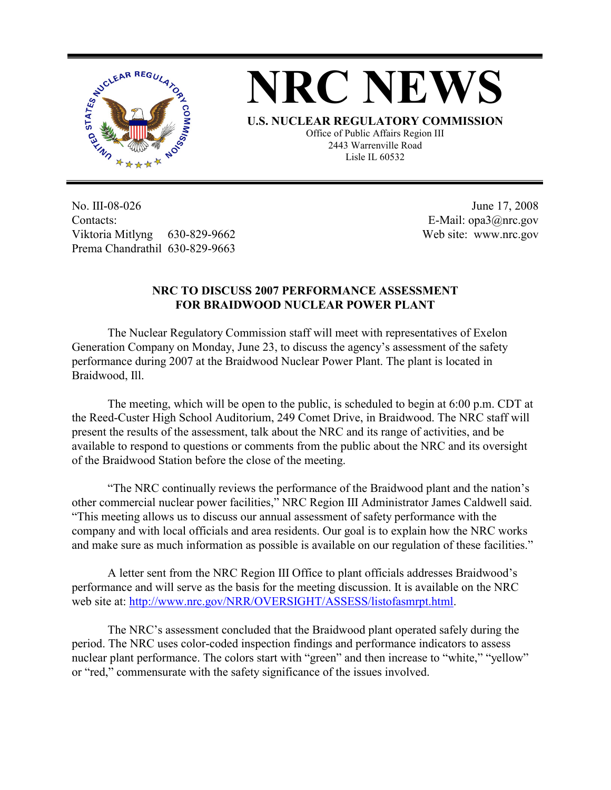



**U.S. NUCLEAR REGULATORY COMMISSION** Office of Public Affairs Region III 2443 Warrenville Road Lisle IL 60532

No. III-08-026 Contacts: Viktoria Mitlyng 630-829-9662 Prema Chandrathil 630-829-9663

 June 17, 2008 E-Mail: opa3@nrc.gov Web site: www.nrc.gov

## **NRC TO DISCUSS 2007 PERFORMANCE ASSESSMENT FOR BRAIDWOOD NUCLEAR POWER PLANT**

 The Nuclear Regulatory Commission staff will meet with representatives of Exelon Generation Company on Monday, June 23, to discuss the agency's assessment of the safety performance during 2007 at the Braidwood Nuclear Power Plant. The plant is located in Braidwood, Ill.

 The meeting, which will be open to the public, is scheduled to begin at 6:00 p.m. CDT at the Reed-Custer High School Auditorium, 249 Comet Drive, in Braidwood. The NRC staff will present the results of the assessment, talk about the NRC and its range of activities, and be available to respond to questions or comments from the public about the NRC and its oversight of the Braidwood Station before the close of the meeting.

 "The NRC continually reviews the performance of the Braidwood plant and the nation's other commercial nuclear power facilities," NRC Region III Administrator James Caldwell said. "This meeting allows us to discuss our annual assessment of safety performance with the company and with local officials and area residents. Our goal is to explain how the NRC works and make sure as much information as possible is available on our regulation of these facilities."

 A letter sent from the NRC Region III Office to plant officials addresses Braidwood's performance and will serve as the basis for the meeting discussion. It is available on the NRC web site at: http://www.nrc.gov/NRR/OVERSIGHT/ASSESS/listofasmrpt.html.

 The NRC's assessment concluded that the Braidwood plant operated safely during the period. The NRC uses color-coded inspection findings and performance indicators to assess nuclear plant performance. The colors start with "green" and then increase to "white," "yellow" or "red," commensurate with the safety significance of the issues involved.